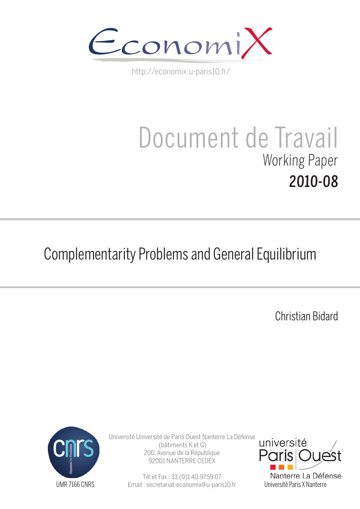

http://economix.u-paris10.fr/

## Document de Travail Working Paper 2010-08

## Complementarity Problems and General Equilibrium

Christian Bidard



Université Université de Paris Ouest Nanterre La Défense (bâtiments K et G) 200, Avenue de la République 92001 NANTERRE CEDEX

> Tél et Fax : 33.(0)1.40.97.59.07 Email : secretariat-economix@u-paris10.fr

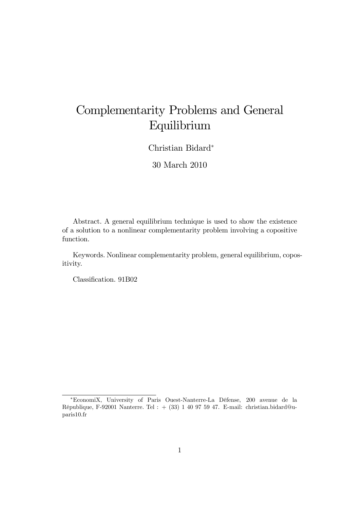## Complementarity Problems and General Equilibrium

Christian Bidard

30 March 2010

Abstract. A general equilibrium technique is used to show the existence of a solution to a nonlinear complementarity problem involving a copositive function.

Keywords. Nonlinear complementarity problem, general equilibrium, copositivity.

Classification. 91B02

<sup>\*</sup>EconomiX, University of Paris Ouest-Nanterre-La Défense, 200 avenue de la RÈpublique, F-92001 Nanterre. Tel : + (33) 1 40 97 59 47. E-mail: christian.bidard@uparis10.fr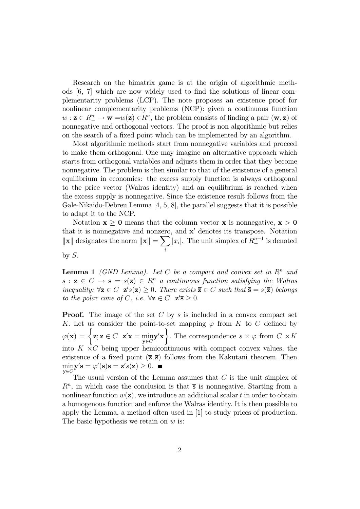Research on the bimatrix game is at the origin of algorithmic methods  $[6, 7]$  which are now widely used to find the solutions of linear complementarity problems (LCP). The note proposes an existence proof for nonlinear complementarity problems (NCP): given a continuous function  $w: \mathbf{z} \in R^n_+ \to \mathbf{w} = w(\mathbf{z}) \in R^n$ , the problem consists of finding a pair  $(\mathbf{w}, \mathbf{z})$  of nonnegative and orthogonal vectors. The proof is non algorithmic but relies on the search of a fixed point which can be implemented by an algorithm.

Most algorithmic methods start from nonnegative variables and proceed to make them orthogonal. One may imagine an alternative approach which starts from orthogonal variables and adjusts them in order that they become nonnegative. The problem is then similar to that of the existence of a general equilibrium in economics: the excess supply function is always orthogonal to the price vector (Walras identity) and an equilibrium is reached when the excess supply is nonnegative. Since the existence result follows from the Gale-Nikaido-Debreu Lemma [4, 5, 8], the parallel suggests that it is possible to adapt it to the NCP.

Notation  $x \geq 0$  means that the column vector x is nonnegative,  $x > 0$ that it is nonnegative and nonzero, and  $x'$  denotes its transpose. Notation  $\left\Vert \mathbf{x}\right\Vert$  designates the norm  $\left\Vert \mathbf{x}\right\Vert =\sum$ i | $x_i$ |. The unit simplex of  $R_+^{n+1}$  is denoted by  $S$ .

**Lemma 1** (GND Lemma). Let C be a compact and convex set in  $\mathbb{R}^n$  and  $s : \mathbf{z} \in C \to \mathbf{s} = s(\mathbf{z}) \in R^n$  a continuous function satisfying the Walras inequality:  $\forall z \in C \; z's(z) \geq 0$ . There exists  $\overline{z} \in C$  such that  $\overline{s} = s(\overline{z})$  belongs to the polar cone of C, i.e.  $\forall z \in C \; z' \overline{s} \geq 0$ .

**Proof.** The image of the set C by s is included in a convex compact set K. Let us consider the point-to-set mapping  $\varphi$  from K to C defined by  $\varphi(\mathbf{x}) = \begin{cases} \mathbf{z}; \mathbf{z} \in C & \mathbf{z}'\mathbf{x} = \min_{\mathbf{y} \in C} \end{cases}$  $y \in C$  $\mathbf{y}'\mathbf{x}$  $\mathcal{L}$ . The correspondence  $s \times \varphi$  from  $C \times K$ into  $K \times C$  being upper hemicontinuous with compact convex values, the existence of a fixed point  $(\overline{z}, \overline{s})$  follows from the Kakutani theorem. Then min  $\mathbf{y} \in C$  $\mathbf{y}'\overline{\mathbf{s}} = \varphi'(\overline{\mathbf{s}})\overline{\mathbf{s}} = \overline{\mathbf{z}}'s(\overline{\mathbf{z}}) \geq 0.$ 

The usual version of the Lemma assumes that  $C$  is the unit simplex of  $R<sup>n</sup>$ , in which case the conclusion is that  $\bar{s}$  is nonnegative. Starting from a nonlinear function  $w(\mathbf{z})$ , we introduce an additional scalar t in order to obtain a homogenous function and enforce the Walras identity. It is then possible to apply the Lemma, a method often used in [1] to study prices of production. The basic hypothesis we retain on  $w$  is: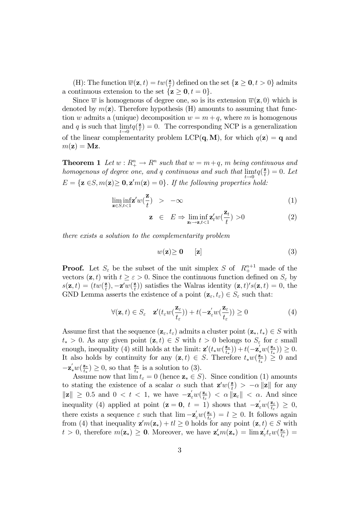(H): The function  $\overline{w}(\mathbf{z},t) = tw(\frac{\mathbf{z}}{t})$  $(\frac{\mathbf{z}}{t})$  defined on the set  $\{\mathbf{z} \geq \mathbf{0}, t > 0\}$  admits a continuous extension to the set  $\{z \geq 0, t = 0\}.$ 

Since  $\overline{w}$  is homogenous of degree one, so is its extension  $\overline{w}(\mathbf{z}, 0)$  which is denoted by  $m(\mathbf{z})$ . Therefore hypothesis (H) amounts to assuming that function w admits a (unique) decomposition  $w = m + q$ , where m is homogenous and  $q$  is such that  $\lim_{n \to \infty}$  $t\rightarrow 0$  $tq(\frac{2}{t})$  $\frac{z}{t}$ ) = 0. The corresponding NCP is a generalization of the linear complementarity problem LCP( $\mathbf{q}, \mathbf{M}$ ), for which  $q(\mathbf{z}) = \mathbf{q}$  and  $m(\mathbf{z}) = \mathbf{M}\mathbf{z}$ .

**Theorem 1** Let  $w: R^n_+ \to R^n$  such that  $w = m + q$ , m being continuous and homogenous of degree one, and q continuous and such that  $\lim_{h \to 0}$  $t\rightarrow 0$  $tq(\frac{2}{t})$  $(\frac{\mathbf{z}}{t}) = 0.$  Let  $E = {\mathbf{z} \in S, m(\mathbf{z}) \ge \mathbf{0}, \mathbf{z}'m(\mathbf{z}) = 0}.$  If the following properties hold:

$$
\liminf_{\mathbf{z}\in S,t<1} w(\frac{\mathbf{z}}{t}) > -\infty \tag{1}
$$

$$
\mathbf{z} \in E \Rightarrow \liminf_{\mathbf{z}_t \to \mathbf{z}, t < 1} \mathbf{z}'_t w(\frac{\mathbf{z}_t}{t}) > 0 \tag{2}
$$

there exists a solution to the complementarity problem

$$
w(\mathbf{z}) \ge \mathbf{0} \qquad [\mathbf{z}] \tag{3}
$$

**Proof.** Let  $S_{\varepsilon}$  be the subset of the unit simplex S of  $R_{+}^{n+1}$  made of the vectors  $(\mathbf{z}, t)$  with  $t \geq \varepsilon > 0$ . Since the continuous function defined on  $S_{\varepsilon}$  by  $s(\mathbf{z},t) = (tw(\frac{\mathbf{z}}{t}))$  $(\frac{\mathbf{z}}{t}), -\mathbf{z}'w(\frac{\mathbf{z}}{t})$  $(\mathbf{z}, t)'s(\mathbf{z}, t) = 0$ , the Walras identity  $(\mathbf{z}, t)'s(\mathbf{z}, t) = 0$ , the GND Lemma asserts the existence of a point  $(\mathbf{z}_{\varepsilon}, t_{\varepsilon}) \in S_{\varepsilon}$  such that:

$$
\forall (\mathbf{z}, t) \in S_{\varepsilon} \quad \mathbf{z}'(t_{\varepsilon}w(\frac{\mathbf{z}_{\varepsilon}}{t_{\varepsilon}})) + t(-\mathbf{z}_{\varepsilon}'w(\frac{\mathbf{z}_{\varepsilon}}{t_{\varepsilon}})) \ge 0 \tag{4}
$$

Assume first that the sequence  $(\mathbf{z}_{\varepsilon}, t_{\varepsilon})$  admits a cluster point  $(\mathbf{z}_*, t_*) \in S$  with  $t_* > 0$ . As any given point  $(z, t) \in S$  with  $t > 0$  belongs to  $S_{\varepsilon}$  for  $\varepsilon$  small enough, inequality (4) still holds at the limit:  $\mathbf{z}'(t_*w(\frac{\mathbf{z}_*}{t_*}))$  $\left(\frac{\mathbf{z}_{*}}{t_{*}}\right)+t\left(-\mathbf{z}^{'}_{*}w\left(\frac{\mathbf{z}_{*}}{t_{*}}\right)\right)$  $(\frac{\mathbf{z}_*}{t_*})\big) \geq 0.$ It also holds by continuity for any  $(\mathbf{z}, t) \in S$ . Therefore  $t_* w(\frac{\mathbf{z}_*}{t_*})$  $\left(\frac{\mathbf{z}_{*}}{t_{*}}\right) \geq 0$  and  $-\mathbf{z}^{\prime}_{*}w(\frac{\mathbf{z}_{*}}{t_{*}})$  $\left(\frac{\mathbf{z}_{*}}{t_{*}}\right) \geq 0$ , so that  $\frac{\mathbf{z}_{*}}{t_{*}}$  is a solution to (3).

Assume now that  $\lim t_{\varepsilon} = 0$  (hence  $\mathbf{z}_{*} \in S$ ). Since condition (1) amounts to stating the existence of a scalar  $\alpha$  such that  $\mathbf{z}'w(\frac{\mathbf{z}}{t})$  $\left( \frac{\mathbf{z}}{t} \right) > -\alpha \|\mathbf{z}\|$  for any  $\|\mathbf{z}\| \geq 0.5$  and  $0 < t < 1$ , we have  $-\mathbf{z}_{\varepsilon}'w(\frac{\mathbf{z}_{\varepsilon}}{t_{\varepsilon}})$  $\frac{\mathbf{z}_{\varepsilon}}{t_{\varepsilon}}$  <  $\alpha$  || $\mathbf{z}_{\varepsilon}$ || <  $\alpha$ . And since inequality (4) applied at point  $(z = 0, t = 1)$  shows that  $-\mathbf{z}'_{\varepsilon}w(\frac{\mathbf{z}_{\varepsilon}}{t_{\varepsilon}})$  $\frac{\mathbf{z}_{\varepsilon}}{t_{\varepsilon}}$ )  $\geq 0,$ there exists a sequence  $\varepsilon$  such that  $\lim_{\epsilon \to 0} -\mathbf{z}'_{\varepsilon} w(\frac{\mathbf{z}_{\varepsilon}}{t_{\varepsilon}})$  $\frac{\mathbf{z}_{\varepsilon}}{t_{\varepsilon}}$  =  $l \geq 0$ . It follows again from (4) that inequality  $\mathbf{z}'m(\mathbf{z}_{*}) + tl \geq 0$  holds for any point  $(\mathbf{z}, t) \in S$  with  $t > 0$ , therefore  $m(\mathbf{z}_*) \geq 0$ . Moreover, we have  $\mathbf{z}'_* m(\mathbf{z}_*) = \lim \mathbf{z}'_{\varepsilon} t_{\varepsilon} w(\frac{\mathbf{z}_{\varepsilon}}{t_{\varepsilon}})$  $\frac{\mathbf{z}_\varepsilon}{t_\varepsilon}\big) =$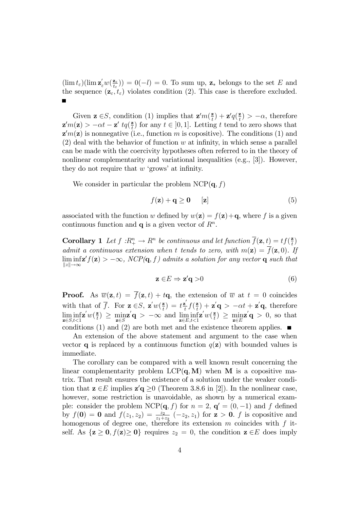$(\lim t_{\varepsilon})(\lim \mathbf{z}_{\varepsilon}^{'}w(\frac{\mathbf{z}_{\varepsilon}}{t_{\varepsilon}}))$  $(\mathbf{z}_{\epsilon}) = \mathbf{0}(-l) = 0.$  To sum up,  $\mathbf{z}_{*}$  belongs to the set E and the sequence  $(z_{\varepsilon}, t_{\varepsilon})$  violates condition (2). This case is therefore excluded.

Given  $\mathbf{z} \in S$ , condition (1) implies that  $\mathbf{z}'m(\frac{\mathbf{z}}{t})$  $(\frac{\mathbf{z}}{t}) + \mathbf{z}'q(\frac{\mathbf{z}}{t})$  $(\frac{\mathbf{z}}{t}) > -\alpha$ , therefore  $\mathbf{z}'m(\mathbf{z}) > -\alpha t - \mathbf{z}'\,\, t q(\frac{\mathbf{z}}{t})$  $(\frac{\mathbf{z}}{t})$  for any  $t \in [0, 1]$ . Letting t tend to zero shows that  $\mathbf{z}'m(\mathbf{z})$  is nonnegative (i.e., function m is copositive). The conditions (1) and  $(2)$  deal with the behavior of function w at infinity, in which sense a parallel can be made with the coercivity hypotheses often referred to in the theory of nonlinear complementarity and variational inequalities (e.g., [3]). However, they do not require that  $w$  'grows' at infinity.

We consider in particular the problem  $NCP(q, f)$ 

$$
f(\mathbf{z}) + \mathbf{q} \ge \mathbf{0} \qquad [\mathbf{z}] \tag{5}
$$

associated with the function w defined by  $w(\mathbf{z}) = f(\mathbf{z}) + \mathbf{q}$ , where f is a given continuous function and  $q$  is a given vector of  $R<sup>n</sup>$ .

**Corollary 1** Let  $f: R^n_+ \to R^n$  be continuous and let function  $\overline{f}(\mathbf{z}, t) = tf(\frac{\mathbf{z}}{t})$  $\frac{\mathbf{z}}{t}$ admit a continuous extension when t tends to zero, with  $m(\mathbf{z}) = \overline{f}(\mathbf{z}, 0)$ . If  $\liminf_{\|z\| \to \infty} f(z) > -\infty$ ,  $NCP(\mathbf{q}, f)$  admits a solution for any vector  $\mathbf{q}$  such that  $||z|| \rightarrow \infty$ 

$$
\mathbf{z} \in E \Rightarrow \mathbf{z}'\mathbf{q} > 0 \tag{6}
$$

**Proof.** As  $\overline{w}(\mathbf{z},t) = \overline{f}(\mathbf{z},t) + t\mathbf{q}$ , the extension of  $\overline{w}$  at  $t = 0$  coincides with that of  $\overline{f}$ . For  $\mathbf{z} \in S$ ,  $\mathbf{z}'w(\frac{\mathbf{z}}{t})$  $\left(\frac{\mathbf{z}}{t}\right) = t\frac{\mathbf{z}'}{t}$  $\frac{z}{t} f(\frac{z}{t})$  $(\mathbf{z}^{\mathbf{z}}) + \mathbf{z}^{\prime} \mathbf{q} > -\alpha t + \mathbf{z}^{\prime} \mathbf{q}$ , therefore lim inf  $z \in S, t < 1$  $\mathbf{z}^{'}w({}\frac{\mathbf{z}}{t}$  $\left(\frac{\mathbf{z}}{t}\right) \geq \min_{\mathbf{z} \in S}$  $\mathbf{z}'\mathbf{q} > -\infty$  and  $\liminf_{\mathbf{z}\in E, t<1}$  $\mathbf{z}^{'}w({}\frac{\mathbf{z}}{t}$  $\frac{\mathbf{z}}{t}$ )  $\geq \min_{\mathbf{z}\in E}$  $\mathbf{z}'\mathbf{q} > 0$ , so that conditions (1) and (2) are both met and the existence theorem applies.  $\blacksquare$ 

An extension of the above statement and argument to the case when vector q is replaced by a continuous function  $q(\mathbf{z})$  with bounded values is immediate.

The corollary can be compared with a well known result concerning the linear complementarity problem  $LCP(q, M)$  when M is a copositive matrix. That result ensures the existence of a solution under the weaker condition that  $\mathbf{z} \in E$  implies  $\mathbf{z}'\mathbf{q} \ge 0$  (Theorem 3.8.6 in [2]). In the nonlinear case, however, some restriction is unavoidable, as shown by a numerical example: consider the problem  $NCP(\mathbf{q}, f)$  for  $n = 2$ ,  $\mathbf{q}' = (0, -1)$  and f defined by  $f(\mathbf{0}) = \mathbf{0}$  and  $f(z_1, z_2) = \frac{z_2}{z_1 + z_2} (-z_2, z_1)$  for  $\mathbf{z} > \mathbf{0}$ . f is copositive and homogenous of degree one, therefore its extension  $m$  coincides with  $f$  itself. As  $\{z \geq 0, f(z) \geq 0\}$  requires  $z_2 = 0$ , the condition  $z \in E$  does imply